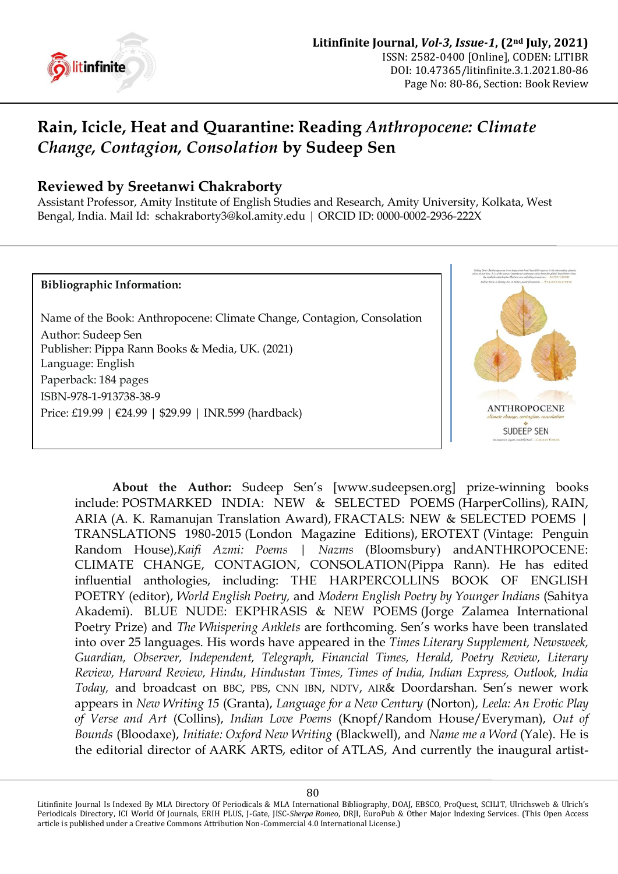

## **Rain, Icicle, Heat and Quarantine: Reading** *Anthropocene: Climate Change, Contagion, Consolation* **by Sudeep Sen**

## **Reviewed by Sreetanwi Chakraborty**

Assistant Professor, Amity Institute of English Studies and Research, Amity University, Kolkata, West Bengal, India. Mail Id: [schakraborty3@kol.amity.edu](mailto:schakraborty3@kol.amity.edu) | ORCID ID: [0000-0002-2936-222X](https://orcid.org/0000-0002-2936-222X)

## **Bibliographic Information:**

Name of the Book: Anthropocene: Climate Change, Contagion, Consolation Author: [Sudeep Sen](https://literature.britishcouncil.org/writer/sudeep-sen) Publisher: Pippa Rann Books & Media, UK. (2021) Language: English Paperback: 184 pages ISBN-978-1-913738-38-9 Price: £19.99 | €24.99 | \$29.99 | INR.599 (hardback)



**About the Author:** Sudeep Sen"s [www.sudeepsen.org] prize-winning books include: POSTMARKED INDIA: NEW & SELECTED POEMS (HarperCollins), RAIN, ARIA (A. K. Ramanujan Translation Award), FRACTALS: NEW & SELECTED POEMS | TRANSLATIONS 1980-2015 (London Magazine Editions), EROTEXT (Vintage: Penguin Random House),*Kaifi Azmi: Poems | Nazms* (Bloomsbury) andANTHROPOCENE: CLIMATE CHANGE, CONTAGION, CONSOLATION(Pippa Rann). He has edited influential anthologies, including: THE HARPERCOLLINS BOOK OF ENGLISH POETRY (editor), *World English Poetry,* and *Modern English Poetry by Younger Indians* (Sahitya Akademi). BLUE NUDE: EKPHRASIS & NEW POEMS (Jorge Zalamea International Poetry Prize) and *The Whispering Anklets* are forthcoming. Sen"s works have been translated into over 25 languages. His words have appeared in the *Times Literary Supplement, Newsweek, Guardian, Observer, Independent, Telegraph, Financial Times, Herald, Poetry Review, Literary Review, Harvard Review, Hindu, Hindustan Times, Times of India, Indian Express, Outlook, India Today,* and broadcast on BBC, PBS, CNN IBN, NDTV, AIR& Doordarshan. Sen"s newer work appears in *New Writing 15* (Granta), *Language for a New Century* (Norton), *Leela: An Erotic Play of Verse and Art* (Collins), *Indian Love Poems* (Knopf/Random House/Everyman), *Out of Bounds* (Bloodaxe), *Initiate: Oxford New Writing* (Blackwell), and *Name me a Word* (Yale). He is the editorial director of AARK ARTS, editor of [ATLAS,](http://www.poetrymagazines.org.uk/magazine/index.asp?id=91) And currently the inaugural artist-

Litinfinite Journal Is Indexed By MLA Directory Of Periodicals & MLA International Bibliography, DOAJ, EBSCO, ProQuest, SCILIT, Ulrichsweb & Ulrich's Periodicals Directory, ICI World Of Journals, ERIH PLUS, J-Gate, JISC-*Sherpa Romeo*, DRJI, EuroPub & Other Major Indexing Services. (This Open Access article is published under a Creative Commons Attribution Non-Commercial 4.0 International License.)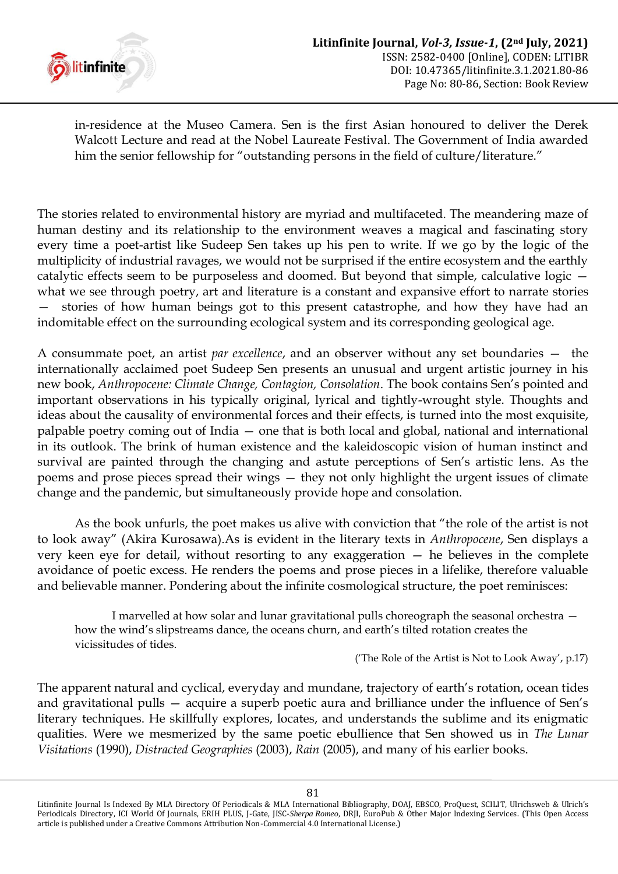

in-residence at the Museo Camera. Sen is the first Asian honoured to deliver the Derek Walcott Lecture and read at the Nobel Laureate Festival. The Government of India awarded him the senior fellowship for "outstanding persons in the field of culture/literature."

The stories related to environmental history are myriad and multifaceted. The meandering maze of human destiny and its relationship to the environment weaves a magical and fascinating story every time a poet-artist like Sudeep Sen takes up his pen to write. If we go by the logic of the multiplicity of industrial ravages, we would not be surprised if the entire ecosystem and the earthly catalytic effects seem to be purposeless and doomed. But beyond that simple, calculative logic what we see through poetry, art and literature is a constant and expansive effort to narrate stories stories of how human beings got to this present catastrophe, and how they have had an indomitable effect on the surrounding ecological system and its corresponding geological age.

A consummate poet, an artist *par excellence*, and an observer without any set boundaries — the internationally acclaimed poet Sudeep Sen presents an unusual and urgent artistic journey in his new book, *Anthropocene: Climate Change, Contagion, Consolation*. The book contains Sen"s pointed and important observations in his typically original, lyrical and tightly-wrought style. Thoughts and ideas about the causality of environmental forces and their effects, is turned into the most exquisite, palpable poetry coming out of India — one that is both local and global, national and international in its outlook. The brink of human existence and the kaleidoscopic vision of human instinct and survival are painted through the changing and astute perceptions of Sen"s artistic lens. As the poems and prose pieces spread their wings — they not only highlight the urgent issues of climate change and the pandemic, but simultaneously provide hope and consolation.

As the book unfurls, the poet makes us alive with conviction that "the role of the artist is not to look away" (Akira Kurosawa).As is evident in the literary texts in *Anthropocene*, Sen displays a very keen eye for detail, without resorting to any exaggeration — he believes in the complete avoidance of poetic excess. He renders the poems and prose pieces in a lifelike, therefore valuable and believable manner. Pondering about the infinite cosmological structure, the poet reminisces:

I marvelled at how solar and lunar gravitational pulls choreograph the seasonal orchestra how the wind's slipstreams dance, the oceans churn, and earth's tilted rotation creates the vicissitudes of tides.

("The Role of the Artist is Not to Look Away", p.17)

The apparent natural and cyclical, everyday and mundane, trajectory of earth's rotation, ocean tides and gravitational pulls – acquire a superb poetic aura and brilliance under the influence of Sen's literary techniques. He skillfully explores, locates, and understands the sublime and its enigmatic qualities. Were we mesmerized by the same poetic ebullience that Sen showed us in *The Lunar Visitations* (1990), *Distracted Geographies* (2003), *Rain* (2005), and many of his earlier books.

Litinfinite Journal Is Indexed By MLA Directory Of Periodicals & MLA International Bibliography, DOAJ, EBSCO, ProQuest, SCILIT, Ulrichsweb & Ulrich's Periodicals Directory, ICI World Of Journals, ERIH PLUS, J-Gate, JISC-*Sherpa Romeo*, DRJI, EuroPub & Other Major Indexing Services. (This Open Access article is published under a Creative Commons Attribution Non-Commercial 4.0 International License.)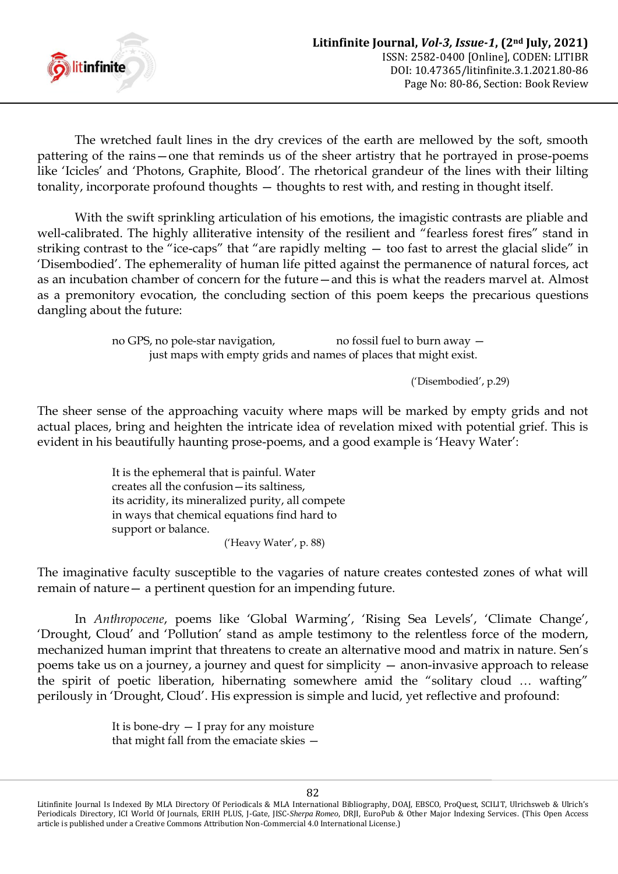

The wretched fault lines in the dry crevices of the earth are mellowed by the soft, smooth pattering of the rains—one that reminds us of the sheer artistry that he portrayed in prose-poems like 'Icicles' and 'Photons, Graphite, Blood'. The rhetorical grandeur of the lines with their lilting tonality, incorporate profound thoughts — thoughts to rest with, and resting in thought itself.

With the swift sprinkling articulation of his emotions, the imagistic contrasts are pliable and well-calibrated. The highly alliterative intensity of the resilient and "fearless forest fires" stand in striking contrast to the "ice-caps" that "are rapidly melting — too fast to arrest the glacial slide" in "Disembodied". The ephemerality of human life pitted against the permanence of natural forces, act as an incubation chamber of concern for the future—and this is what the readers marvel at. Almost as a premonitory evocation, the concluding section of this poem keeps the precarious questions dangling about the future:

> no GPS, no pole-star navigation, no fossil fuel to burn away  $$ just maps with empty grids and names of places that might exist.

> > ("Disembodied", p.29)

The sheer sense of the approaching vacuity where maps will be marked by empty grids and not actual places, bring and heighten the intricate idea of revelation mixed with potential grief. This is evident in his beautifully haunting prose-poems, and a good example is "Heavy Water":

> It is the ephemeral that is painful. Water creates all the confusion—its saltiness, its acridity, its mineralized purity, all compete in ways that chemical equations find hard to support or balance. ('Heavy Water', p. 88)

The imaginative faculty susceptible to the vagaries of nature creates contested zones of what will remain of nature— a pertinent question for an impending future.

In *Anthropocene*, poems like 'Global Warming', 'Rising Sea Levels', 'Climate Change', "Drought, Cloud" and "Pollution" stand as ample testimony to the relentless force of the modern, mechanized human imprint that threatens to create an alternative mood and matrix in nature. Sen"s poems take us on a journey, a journey and quest for simplicity — anon-invasive approach to release the spirit of poetic liberation, hibernating somewhere amid the "solitary cloud … wafting" perilously in "Drought, Cloud". His expression is simple and lucid, yet reflective and profound:

> It is bone-dry  $-$  I pray for any moisture that might fall from the emaciate skies —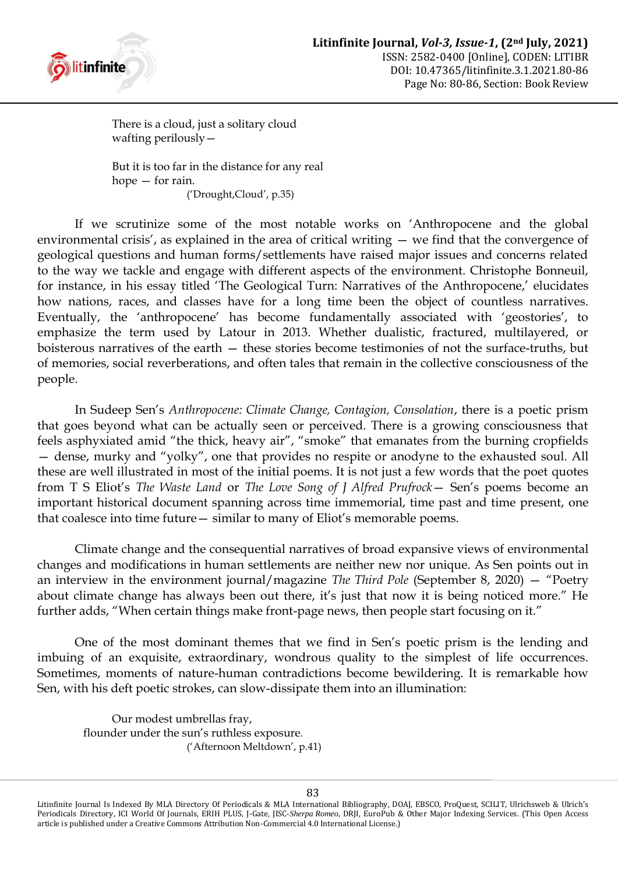

There is a cloud, just a solitary cloud wafting perilously—

But it is too far in the distance for any real hope — for rain. ("Drought,Cloud", p.35)

If we scrutinize some of the most notable works on "Anthropocene and the global environmental crisis', as explained in the area of critical writing  $-$  we find that the convergence of geological questions and human forms/settlements have raised major issues and concerns related to the way we tackle and engage with different aspects of the environment. Christophe Bonneuil, for instance, in his essay titled 'The Geological Turn: Narratives of the Anthropocene,' elucidates how nations, races, and classes have for a long time been the object of countless narratives. Eventually, the 'anthropocene' has become fundamentally associated with 'geostories', to emphasize the term used by Latour in 2013. Whether dualistic, fractured, multilayered, or boisterous narratives of the earth — these stories become testimonies of not the surface-truths, but of memories, social reverberations, and often tales that remain in the collective consciousness of the people.

In Sudeep Sen"s *Anthropocene: Climate Change, Contagion, Consolation*, there is a poetic prism that goes beyond what can be actually seen or perceived. There is a growing consciousness that feels asphyxiated amid "the thick, heavy air", "smoke" that emanates from the burning cropfields — dense, murky and "yolky", one that provides no respite or anodyne to the exhausted soul. All these are well illustrated in most of the initial poems. It is not just a few words that the poet quotes from T S Eliot's *The Waste Land* or *The Love Song of J Alfred Prufrock* - Sen's poems become an important historical document spanning across time immemorial, time past and time present, one that coalesce into time future— similar to many of Eliot"s memorable poems.

Climate change and the consequential narratives of broad expansive views of environmental changes and modifications in human settlements are neither new nor unique. As Sen points out in an interview in the environment journal/magazine *The Third Pole* (September 8, 2020) — "Poetry about climate change has always been out there, it's just that now it is being noticed more." He further adds, "When certain things make front-page news, then people start focusing on it."

One of the most dominant themes that we find in Sen"s poetic prism is the lending and imbuing of an exquisite, extraordinary, wondrous quality to the simplest of life occurrences. Sometimes, moments of nature-human contradictions become bewildering. It is remarkable how Sen, with his deft poetic strokes, can slow-dissipate them into an illumination:

Our modest umbrellas fray, flounder under the sun's ruthless exposure. ("Afternoon Meltdown", p.41)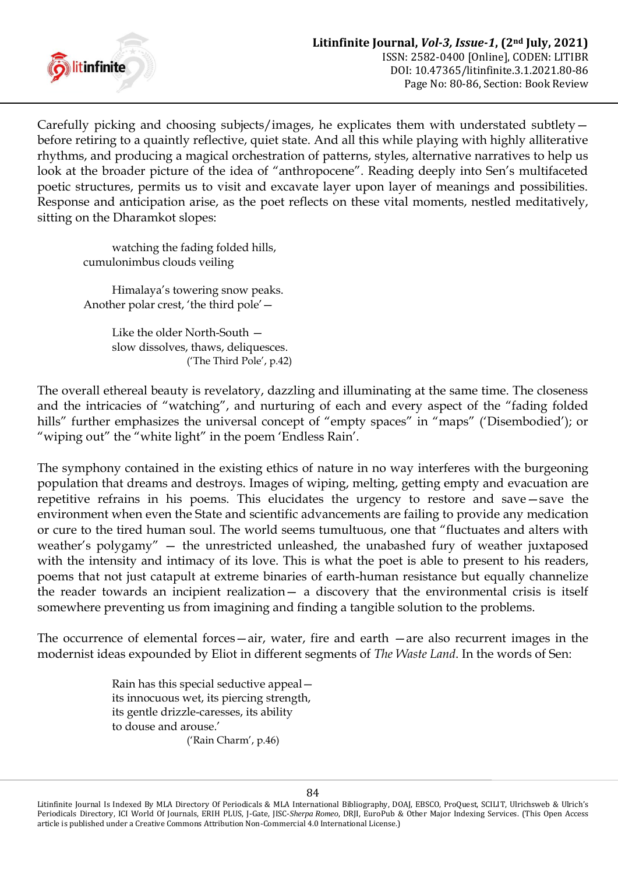

Carefully picking and choosing subjects/images, he explicates them with understated subtlety before retiring to a quaintly reflective, quiet state. And all this while playing with highly alliterative rhythms, and producing a magical orchestration of patterns, styles, alternative narratives to help us look at the broader picture of the idea of "anthropocene". Reading deeply into Sen's multifaceted poetic structures, permits us to visit and excavate layer upon layer of meanings and possibilities. Response and anticipation arise, as the poet reflects on these vital moments, nestled meditatively, sitting on the Dharamkot slopes:

watching the fading folded hills, cumulonimbus clouds veiling

Himalaya's towering snow peaks. Another polar crest, "the third pole"—

> Like the older North-South slow dissolves, thaws, deliquesces. ("The Third Pole", p.42)

The overall ethereal beauty is revelatory, dazzling and illuminating at the same time. The closeness and the intricacies of "watching", and nurturing of each and every aspect of the "fading folded hills" further emphasizes the universal concept of "empty spaces" in "maps" ('Disembodied'); or "wiping out" the "white light" in the poem "Endless Rain".

The symphony contained in the existing ethics of nature in no way interferes with the burgeoning population that dreams and destroys. Images of wiping, melting, getting empty and evacuation are repetitive refrains in his poems. This elucidates the urgency to restore and save—save the environment when even the State and scientific advancements are failing to provide any medication or cure to the tired human soul. The world seems tumultuous, one that "fluctuates and alters with weather"s polygamy" — the unrestricted unleashed, the unabashed fury of weather juxtaposed with the intensity and intimacy of its love. This is what the poet is able to present to his readers, poems that not just catapult at extreme binaries of earth-human resistance but equally channelize the reader towards an incipient realization— a discovery that the environmental crisis is itself somewhere preventing us from imagining and finding a tangible solution to the problems.

The occurrence of elemental forces—air, water, fire and earth —are also recurrent images in the modernist ideas expounded by Eliot in different segments of *The Waste Land*. In the words of Sen:

> Rain has this special seductive appeal its innocuous wet, its piercing strength, its gentle drizzle-caresses, its ability to douse and arouse.' ('Rain Charm', p.46)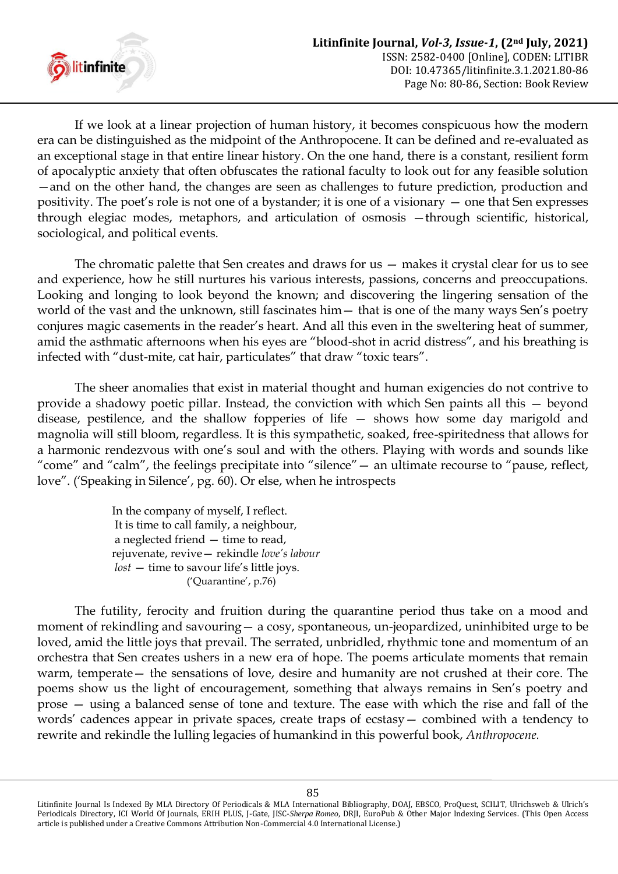

If we look at a linear projection of human history, it becomes conspicuous how the modern era can be distinguished as the midpoint of the Anthropocene. It can be defined and re-evaluated as an exceptional stage in that entire linear history. On the one hand, there is a constant, resilient form of apocalyptic anxiety that often obfuscates the rational faculty to look out for any feasible solution —and on the other hand, the changes are seen as challenges to future prediction, production and positivity. The poet"s role is not one of a bystander; it is one of a visionary — one that Sen expresses through elegiac modes, metaphors, and articulation of osmosis —through scientific, historical, sociological, and political events.

The chromatic palette that Sen creates and draws for us — makes it crystal clear for us to see and experience, how he still nurtures his various interests, passions, concerns and preoccupations. Looking and longing to look beyond the known; and discovering the lingering sensation of the world of the vast and the unknown, still fascinates him — that is one of the many ways Sen's poetry conjures magic casements in the reader"s heart. And all this even in the sweltering heat of summer, amid the asthmatic afternoons when his eyes are "blood-shot in acrid distress", and his breathing is infected with "dust-mite, cat hair, particulates" that draw "toxic tears".

The sheer anomalies that exist in material thought and human exigencies do not contrive to provide a shadowy poetic pillar. Instead, the conviction with which Sen paints all this — beyond disease, pestilence, and the shallow fopperies of life — shows how some day marigold and magnolia will still bloom, regardless. It is this sympathetic, soaked, free-spiritedness that allows for a harmonic rendezvous with one's soul and with the others. Playing with words and sounds like "come" and "calm", the feelings precipitate into "silence"— an ultimate recourse to "pause, reflect, love". ('Speaking in Silence', pg. 60). Or else, when he introspects

> In the company of myself, I reflect. It is time to call family, a neighbour, a neglected friend — time to read, rejuvenate, revive— rekindle *love's labour lost* – time to savour life's little joys. ('Quarantine', p.76)

The futility, ferocity and fruition during the quarantine period thus take on a mood and moment of rekindling and savouring— a cosy, spontaneous, un-jeopardized, uninhibited urge to be loved, amid the little joys that prevail. The serrated, unbridled, rhythmic tone and momentum of an orchestra that Sen creates ushers in a new era of hope. The poems articulate moments that remain warm, temperate— the sensations of love, desire and humanity are not crushed at their core. The poems show us the light of encouragement, something that always remains in Sen"s poetry and prose — using a balanced sense of tone and texture. The ease with which the rise and fall of the words" cadences appear in private spaces, create traps of ecstasy— combined with a tendency to rewrite and rekindle the lulling legacies of humankind in this powerful book, *Anthropocene.*